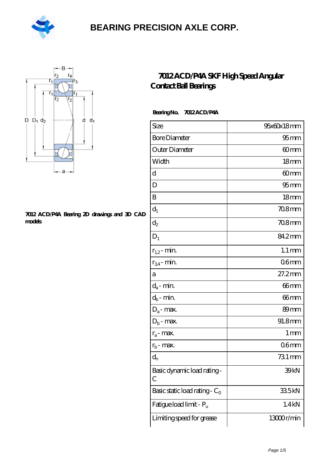



#### **[7012 ACD/P4A Bearing 2D drawings and 3D CAD](https://m.hilalanaokulu.com/pic-660818.html) [models](https://m.hilalanaokulu.com/pic-660818.html)**

#### **[7012 ACD/P4A SKF High Speed Angular](https://m.hilalanaokulu.com/skf-bearings/7012-acd-p4a.html) [Contact Ball Bearings](https://m.hilalanaokulu.com/skf-bearings/7012-acd-p4a.html)**

 **Bearing No. 7012 ACD/P4A**

| Size                             | 95x60x18mm          |
|----------------------------------|---------------------|
| <b>Bore Diameter</b>             | 95 <sub>mm</sub>    |
| Outer Diameter                   | 60mm                |
| Width                            | 18 <sub>mm</sub>    |
| d                                | 60mm                |
| D                                | 95 <sub>mm</sub>    |
| B                                | 18mm                |
| $d_1$                            | $708$ mm            |
| $\mathrm{d}_2$                   | $708$ mm            |
| $D_1$                            | 84.2mm              |
| $r_{1,2}$ - min.                 | $1.1 \,\mathrm{mm}$ |
| $r_{34}$ - min.                  | 06 <sub>mm</sub>    |
| а                                | $27.2$ mm           |
| $d_a$ - min.                     | $66$ mm             |
| $d_b$ - min.                     | 66mm                |
| $D_a$ - max.                     | 89 <sub>mm</sub>    |
| $D_b$ - max.                     | 91.8mm              |
| $r_a$ - max.                     | $1 \,\mathrm{mm}$   |
| $r_{b}$ - max.                   | 06 <sub>mm</sub>    |
| $d_n$                            | 731 mm              |
| Basic dynamic load rating-<br>C  | 39 <sub>kN</sub>    |
| Basic static load rating - $C_0$ | 335kN               |
| Fatigue load limit - Pu          | 1.4kN               |
| Limiting speed for grease        | 13000r/min          |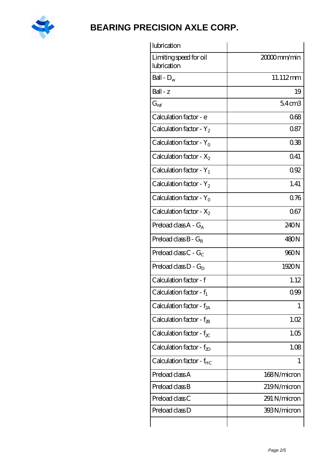

| lubrication                           |                   |
|---------------------------------------|-------------------|
| Limiting speed for oil<br>lubrication | 20000mm/min       |
| Ball - $D_w$                          | 11.112mm          |
| $Ball - z$                            | 19                |
| $G_{ref}$                             | 54 <sub>cm3</sub> |
| Calculation factor - e                | 068               |
| Calculation factor - $Y_2$            | 0.87              |
| Calculation factor - $Y_0$            | 038               |
| Calculation factor - $X_2$            | 0.41              |
| Calculation factor - $Y_1$            | 0.92              |
| Calculation factor - $Y_2$            | 1.41              |
| Calculation factor - $Y_0$            | 076               |
| Calculation factor - $X_2$            | 067               |
| Preload class $A - G_A$               | 240N              |
| Preload class $B - G_B$               | 480N              |
| Preload class $C - G_C$               | 960N              |
| Preload class $D - G_D$               | 1920N             |
| Calculation factor - f                | 1.12              |
| Calculation factor - $f_1$            | 0.99              |
| Calculation factor - $f_{2A}$         | 1                 |
| Calculation factor - $f_{2B}$         | 1.02              |
| Calculation factor - $f_{\chi}$       | 1.05              |
| Calculation factor - $f_{2D}$         | 1.08              |
| Calculation factor - $f_{HC}$         | 1                 |
| Preload class A                       | 168N/micron       |
| Preload class B                       | 219N/micron       |
| Preload class C                       | 291 N/micron      |
| Preload class D                       | 393N/micron       |
|                                       |                   |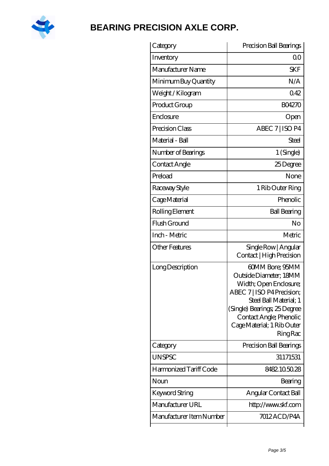

| Category                 | Precision Ball Bearings                                                                                                                                                                                                                 |
|--------------------------|-----------------------------------------------------------------------------------------------------------------------------------------------------------------------------------------------------------------------------------------|
| Inventory                | 0 <sup>0</sup>                                                                                                                                                                                                                          |
| Manufacturer Name        | <b>SKF</b>                                                                                                                                                                                                                              |
| Minimum Buy Quantity     | N/A                                                                                                                                                                                                                                     |
| Weight / Kilogram        | 042                                                                                                                                                                                                                                     |
| Product Group            | <b>BO4270</b>                                                                                                                                                                                                                           |
| Enclosure                | Open                                                                                                                                                                                                                                    |
| Precision Class          | ABEC 7   ISO P4                                                                                                                                                                                                                         |
| Material - Ball          | Steel                                                                                                                                                                                                                                   |
| Number of Bearings       | 1 (Single)                                                                                                                                                                                                                              |
| Contact Angle            | 25Degree                                                                                                                                                                                                                                |
| Preload                  | None                                                                                                                                                                                                                                    |
| Raceway Style            | 1 Rib Outer Ring                                                                                                                                                                                                                        |
| Cage Material            | Phenolic                                                                                                                                                                                                                                |
| Rolling Element          | <b>Ball Bearing</b>                                                                                                                                                                                                                     |
| Flush Ground             | No                                                                                                                                                                                                                                      |
| Inch - Metric            | Metric                                                                                                                                                                                                                                  |
| Other Features           | Single Row   Angular<br>Contact   High Precision                                                                                                                                                                                        |
| Long Description         | 60MM Bore; 95MM<br>Outside Diameter; 18MM<br>Width; Open Enclosure;<br>ABEC 7   ISO P4 Precision;<br>Steel Ball Material; 1<br>(Single) Bearings, 25 Degree<br>Contact Angle; Phenolic<br>Cage Material; 1 Rib Outer<br><b>Ring Rac</b> |
| Category                 | Precision Ball Bearings                                                                                                                                                                                                                 |
| <b>UNSPSC</b>            | 31171531                                                                                                                                                                                                                                |
| Harmonized Tariff Code   | 8482105028                                                                                                                                                                                                                              |
| Noun                     | Bearing                                                                                                                                                                                                                                 |
| Keyword String           | Angular Contact Ball                                                                                                                                                                                                                    |
| Manufacturer URL         | http://www.skf.com                                                                                                                                                                                                                      |
| Manufacturer Item Number | 7012ACD/P4A                                                                                                                                                                                                                             |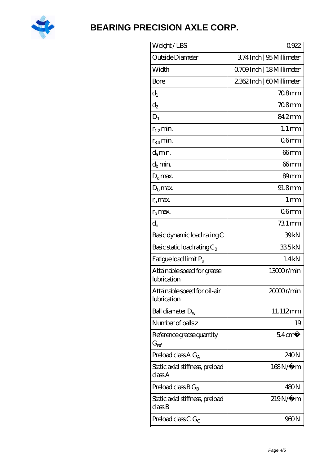

| Weight/LBS                                  | 0922                      |
|---------------------------------------------|---------------------------|
| Outside Diameter                            | 374Inch   95 Millimeter   |
| Width                                       | 0.709Inch   18 Millimeter |
| Bore                                        | 2362Inch   60Millimeter   |
| $d_1$                                       | 708mm                     |
| $d_2$                                       | $708$ mm                  |
| $D_1$                                       | 84.2mm                    |
| $r_{1,2}$ min.                              | $1.1 \,\mathrm{mm}$       |
| $r_{34}$ min.                               | 06 <sub>mm</sub>          |
| $d_{a}$ min.                                | 66mm                      |
| $d_h$ min.                                  | 66mm                      |
| $D_a$ max.                                  | 89 <sub>mm</sub>          |
| $D_{b}$ max.                                | 91.8mm                    |
| $r_a$ max.                                  | 1 <sub>mm</sub>           |
| $r_{\rm b}$ max.                            | 06mm                      |
| $d_{n}$                                     | 731 mm                    |
| Basic dynamic load rating C                 | 39kN                      |
| Basic static load rating $C_0$              | 335kN                     |
| Fatigue load limit $P_u$                    | 1.4kN                     |
| Attainable speed for grease<br>lubrication  | 13000r/min                |
| Attainable speed for oil-air<br>lubrication | 2000r/min                 |
| Ball diameter $D_w$                         | 11.112mm                  |
| Number of balls z                           | 19                        |
| Reference grease quantity<br>$G_{ref}$      | $54 \text{ cm}^3$         |
| Preload class A $G_A$                       | 240N                      |
| Static axial stiffness, preload<br>classA   | 168N/μ m                  |
| Preload class $BG_B$                        | 480N                      |
|                                             | $219N/\mu$ m              |
| Static axial stiffness, preload<br>classB   |                           |